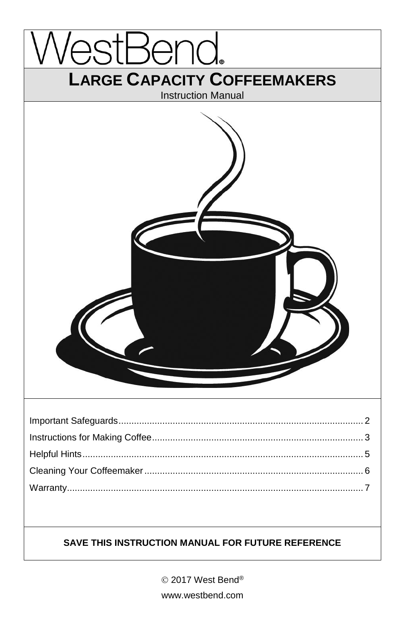

© 2017 West Bend® www.westbend.com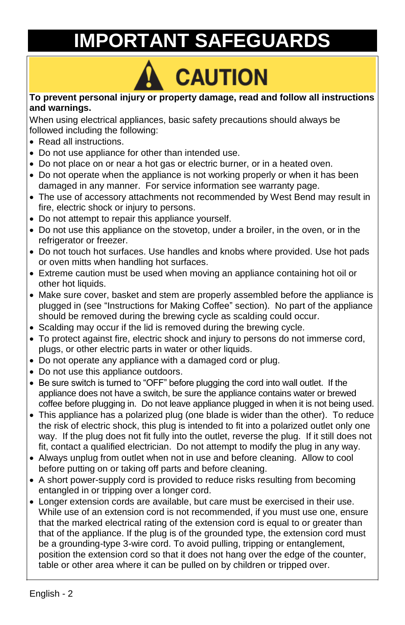# **IMPORTANT SAFEGUARDS**

# CAUTION

#### **To prevent personal injury or property damage, read and follow all instructions and warnings.**

When using electrical appliances, basic safety precautions should always be followed including the following:

- Read all instructions.
- Do not use appliance for other than intended use.
- Do not place on or near a hot gas or electric burner, or in a heated oven.
- Do not operate when the appliance is not working properly or when it has been damaged in any manner. For service information see warranty page.
- The use of accessory attachments not recommended by West Bend may result in fire, electric shock or injury to persons.
- Do not attempt to repair this appliance yourself.
- Do not use this appliance on the stovetop, under a broiler, in the oven, or in the refrigerator or freezer.
- Do not touch hot surfaces. Use handles and knobs where provided. Use hot pads or oven mitts when handling hot surfaces.
- Extreme caution must be used when moving an appliance containing hot oil or other hot liquids.
- Make sure cover, basket and stem are properly assembled before the appliance is plugged in (see "Instructions for Making Coffee" section). No part of the appliance should be removed during the brewing cycle as scalding could occur.
- Scalding may occur if the lid is removed during the brewing cycle.
- To protect against fire, electric shock and injury to persons do not immerse cord, plugs, or other electric parts in water or other liquids.
- Do not operate any appliance with a damaged cord or plug.
- Do not use this appliance outdoors.
- Be sure switch is turned to "OFF" before plugging the cord into wall outlet. If the appliance does not have a switch, be sure the appliance contains water or brewed coffee before plugging in. Do not leave appliance plugged in when it is not being used.
- This appliance has a polarized plug (one blade is wider than the other). To reduce the risk of electric shock, this plug is intended to fit into a polarized outlet only one way. If the plug does not fit fully into the outlet, reverse the plug. If it still does not fit, contact a qualified electrician. Do not attempt to modify the plug in any way.
- Always unplug from outlet when not in use and before cleaning. Allow to cool before putting on or taking off parts and before cleaning.
- A short power-supply cord is provided to reduce risks resulting from becoming entangled in or tripping over a longer cord.
- Longer extension cords are available, but care must be exercised in their use. While use of an extension cord is not recommended, if you must use one, ensure that the marked electrical rating of the extension cord is equal to or greater than that of the appliance. If the plug is of the grounded type, the extension cord must be a grounding-type 3-wire cord. To avoid pulling, tripping or entanglement, position the extension cord so that it does not hang over the edge of the counter, table or other area where it can be pulled on by children or tripped over.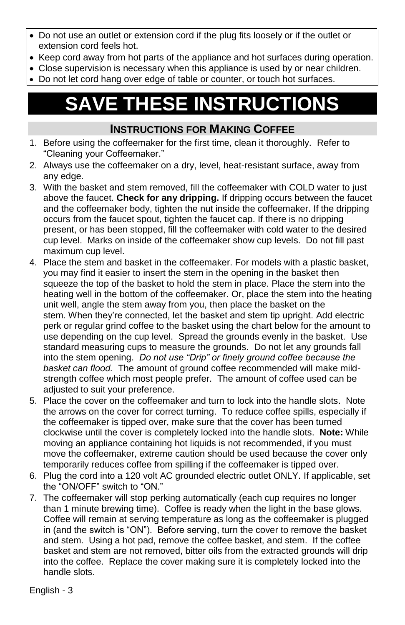- Do not use an outlet or extension cord if the plug fits loosely or if the outlet or extension cord feels hot.
- Keep cord away from hot parts of the appliance and hot surfaces during operation.
- Close supervision is necessary when this appliance is used by or near children.
- Do not let cord hang over edge of table or counter, or touch hot surfaces.

# **SAVE THESE INSTRUCTIONS**

### **INSTRUCTIONS FOR MAKING COFFEE**

- 1. Before using the coffeemaker for the first time, clean it thoroughly. Refer to "Cleaning your Coffeemaker."
- 2. Always use the coffeemaker on a dry, level, heat-resistant surface, away from any edge.
- 3. With the basket and stem removed, fill the coffeemaker with COLD water to just above the faucet. **Check for any dripping.** If dripping occurs between the faucet and the coffeemaker body, tighten the nut inside the coffeemaker. If the dripping occurs from the faucet spout, tighten the faucet cap. If there is no dripping present, or has been stopped, fill the coffeemaker with cold water to the desired cup level. Marks on inside of the coffeemaker show cup levels. Do not fill past maximum cup level.
- 4. Place the stem and basket in the coffeemaker. For models with a plastic basket, you may find it easier to insert the stem in the opening in the basket then squeeze the top of the basket to hold the stem in place. Place the stem into the heating well in the bottom of the coffeemaker. Or, place the stem into the heating unit well, angle the stem away from you, then place the basket on the stem. When they're connected, let the basket and stem tip upright. Add electric perk or regular grind coffee to the basket using the chart below for the amount to use depending on the cup level. Spread the grounds evenly in the basket. Use standard measuring cups to measure the grounds. Do not let any grounds fall into the stem opening. *Do not use "Drip" or finely ground coffee because the basket can flood.* The amount of ground coffee recommended will make mildstrength coffee which most people prefer. The amount of coffee used can be adjusted to suit your preference.
- 5. Place the cover on the coffeemaker and turn to lock into the handle slots. Note the arrows on the cover for correct turning. To reduce coffee spills, especially if the coffeemaker is tipped over, make sure that the cover has been turned clockwise until the cover is completely locked into the handle slots. **Note:** While moving an appliance containing hot liquids is not recommended, if you must move the coffeemaker, extreme caution should be used because the cover only temporarily reduces coffee from spilling if the coffeemaker is tipped over.
- 6. Plug the cord into a 120 volt AC grounded electric outlet ONLY. If applicable, set the "ON/OFF" switch to "ON."
- 7. The coffeemaker will stop perking automatically (each cup requires no longer than 1 minute brewing time). Coffee is ready when the light in the base glows. Coffee will remain at serving temperature as long as the coffeemaker is plugged in (and the switch is "ON"). Before serving, turn the cover to remove the basket and stem. Using a hot pad, remove the coffee basket, and stem. If the coffee basket and stem are not removed, bitter oils from the extracted grounds will drip into the coffee. Replace the cover making sure it is completely locked into the handle slots.

English - 3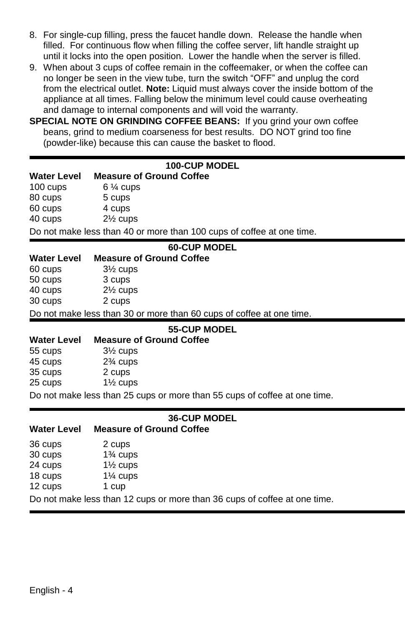- 8. For single-cup filling, press the faucet handle down. Release the handle when filled. For continuous flow when filling the coffee server, lift handle straight up until it locks into the open position. Lower the handle when the server is filled.
- 9. When about 3 cups of coffee remain in the coffeemaker, or when the coffee can no longer be seen in the view tube, turn the switch "OFF" and unplug the cord from the electrical outlet. **Note:** Liquid must always cover the inside bottom of the appliance at all times. Falling below the minimum level could cause overheating and damage to internal components and will void the warranty.
- **SPECIAL NOTE ON GRINDING COFFEE BEANS:** If you grind your own coffee beans, grind to medium coarseness for best results. DO NOT grind too fine (powder-like) because this can cause the basket to flood.

#### **100-CUP MODEL**

#### **Water Level Measure of Ground Coffee**

100 cups 6  $\frac{1}{4}$  cups

80 cups 5 cups

60 cups 4 cups

40 cups 2½ cups

Do not make less than 40 or more than 100 cups of coffee at one time.

| <b>60-CUP MODEL</b>                                                  |                     |                                 |  |
|----------------------------------------------------------------------|---------------------|---------------------------------|--|
| Water Level                                                          |                     | <b>Measure of Ground Coffee</b> |  |
| 60 cups                                                              | $3\frac{1}{2}$ cups |                                 |  |
| 50 cups                                                              | 3 cups              |                                 |  |
| 40 cups                                                              | $2\frac{1}{2}$ cups |                                 |  |
| 30 cups                                                              | 2 cups              |                                 |  |
| Do not make less than 30 or more than 60 cups of coffee at one time. |                     |                                 |  |
| <b>55-CUP MODEL</b>                                                  |                     |                                 |  |
| Water Level                                                          |                     | <b>Measure of Ground Coffee</b> |  |
| 55 cups                                                              | $3\frac{1}{2}$ cups |                                 |  |
| 45 cups                                                              | $2\%$ cups          |                                 |  |
|                                                                      |                     |                                 |  |

| TU UUPU | $274$ vups          |
|---------|---------------------|
| 35 cups | 2 cups              |
| 25 cups | $1\frac{1}{2}$ cups |

Do not make less than 25 cups or more than 55 cups of coffee at one time.

#### **36-CUP MODEL**

#### **Water Level Measure of Ground Coffee**

| 36 cups | 2 cups                 |
|---------|------------------------|
| 30 cups | 1 <sup>3</sup> ⁄4 cups |
| 24 cups | $1\frac{1}{2}$ cups    |
| 18 cups | $1\%$ cups             |
| 12 cups | 1 cup                  |

Do not make less than 12 cups or more than 36 cups of coffee at one time.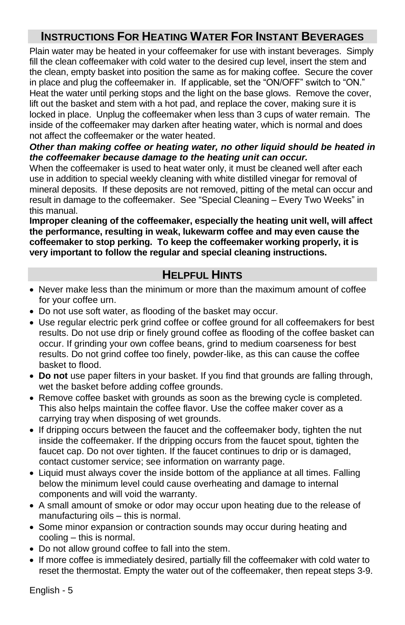# **INSTRUCTIONS FOR HEATING WATER FOR INSTANT BEVERAGES**

Plain water may be heated in your coffeemaker for use with instant beverages. Simply fill the clean coffeemaker with cold water to the desired cup level, insert the stem and the clean, empty basket into position the same as for making coffee. Secure the cover in place and plug the coffeemaker in. If applicable, set the "ON/OFF" switch to "ON." Heat the water until perking stops and the light on the base glows. Remove the cover, lift out the basket and stem with a hot pad, and replace the cover, making sure it is locked in place. Unplug the coffeemaker when less than 3 cups of water remain. The inside of the coffeemaker may darken after heating water, which is normal and does not affect the coffeemaker or the water heated.

#### *Other than making coffee or heating water, no other liquid should be heated in the coffeemaker because damage to the heating unit can occur.*

When the coffeemaker is used to heat water only, it must be cleaned well after each use in addition to special weekly cleaning with white distilled vinegar for removal of mineral deposits. If these deposits are not removed, pitting of the metal can occur and result in damage to the coffeemaker. See "Special Cleaning – Every Two Weeks" in this manual.

**Improper cleaning of the coffeemaker, especially the heating unit well, will affect the performance, resulting in weak, lukewarm coffee and may even cause the coffeemaker to stop perking. To keep the coffeemaker working properly, it is very important to follow the regular and special cleaning instructions.**

## **HELPFUL HINTS**

- Never make less than the minimum or more than the maximum amount of coffee for your coffee urn.
- Do not use soft water, as flooding of the basket may occur.
- Use regular electric perk grind coffee or coffee ground for all coffeemakers for best results. Do not use drip or finely ground coffee as flooding of the coffee basket can occur. If grinding your own coffee beans, grind to medium coarseness for best results. Do not grind coffee too finely, powder-like, as this can cause the coffee basket to flood.
- **Do not** use paper filters in your basket. If you find that grounds are falling through, wet the basket before adding coffee grounds.
- Remove coffee basket with grounds as soon as the brewing cycle is completed. This also helps maintain the coffee flavor. Use the coffee maker cover as a carrying tray when disposing of wet grounds.
- If dripping occurs between the faucet and the coffeemaker body, tighten the nut inside the coffeemaker. If the dripping occurs from the faucet spout, tighten the faucet cap. Do not over tighten. If the faucet continues to drip or is damaged, contact customer service; see information on warranty page.
- Liquid must always cover the inside bottom of the appliance at all times. Falling below the minimum level could cause overheating and damage to internal components and will void the warranty.
- A small amount of smoke or odor may occur upon heating due to the release of manufacturing oils – this is normal.
- Some minor expansion or contraction sounds may occur during heating and cooling – this is normal.
- Do not allow ground coffee to fall into the stem.
- If more coffee is immediately desired, partially fill the coffeemaker with cold water to reset the thermostat. Empty the water out of the coffeemaker, then repeat steps 3-9.

English - 5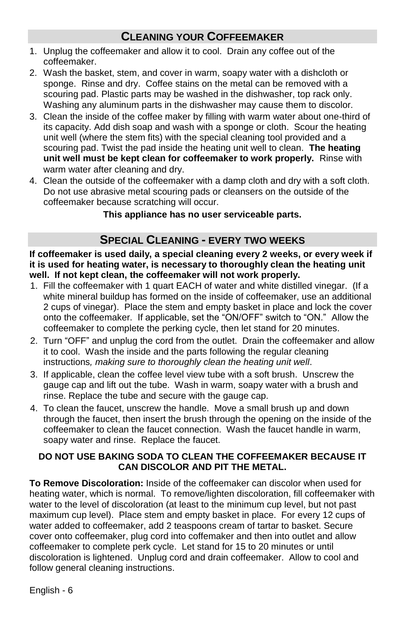# **CLEANING YOUR COFFEEMAKER**

- 1. Unplug the coffeemaker and allow it to cool. Drain any coffee out of the coffeemaker.
- 2. Wash the basket, stem, and cover in warm, soapy water with a dishcloth or sponge. Rinse and dry. Coffee stains on the metal can be removed with a scouring pad. Plastic parts may be washed in the dishwasher, top rack only. Washing any aluminum parts in the dishwasher may cause them to discolor.
- 3. Clean the inside of the coffee maker by filling with warm water about one-third of its capacity. Add dish soap and wash with a sponge or cloth. Scour the heating unit well (where the stem fits) with the special cleaning tool provided and a scouring pad. Twist the pad inside the heating unit well to clean. **The heating unit well must be kept clean for coffeemaker to work properly.** Rinse with warm water after cleaning and dry.
- 4. Clean the outside of the coffeemaker with a damp cloth and dry with a soft cloth. Do not use abrasive metal scouring pads or cleansers on the outside of the coffeemaker because scratching will occur.

#### **This appliance has no user serviceable parts.**

## **SPECIAL CLEANING - EVERY TWO WEEKS**

**If coffeemaker is used daily, a special cleaning every 2 weeks, or every week if it is used for heating water, is necessary to thoroughly clean the heating unit well. If not kept clean, the coffeemaker will not work properly.**

- 1. Fill the coffeemaker with 1 quart EACH of water and white distilled vinegar. (If a white mineral buildup has formed on the inside of coffeemaker, use an additional 2 cups of vinegar). Place the stem and empty basket in place and lock the cover onto the coffeemaker. If applicable, set the "ON/OFF" switch to "ON." Allow the coffeemaker to complete the perking cycle, then let stand for 20 minutes.
- 2. Turn "OFF" and unplug the cord from the outlet. Drain the coffeemaker and allow it to cool. Wash the inside and the parts following the regular cleaning instructions*, making sure to thoroughly clean the heating unit well*.
- 3. If applicable, clean the coffee level view tube with a soft brush. Unscrew the gauge cap and lift out the tube. Wash in warm, soapy water with a brush and rinse. Replace the tube and secure with the gauge cap.
- 4. To clean the faucet, unscrew the handle. Move a small brush up and down through the faucet, then insert the brush through the opening on the inside of the coffeemaker to clean the faucet connection. Wash the faucet handle in warm, soapy water and rinse. Replace the faucet.

#### **DO NOT USE BAKING SODA TO CLEAN THE COFFEEMAKER BECAUSE IT CAN DISCOLOR AND PIT THE METAL.**

**To Remove Discoloration:** Inside of the coffeemaker can discolor when used for heating water, which is normal. To remove/lighten discoloration, fill coffeemaker with water to the level of discoloration (at least to the minimum cup level, but not past maximum cup level). Place stem and empty basket in place. For every 12 cups of water added to coffeemaker, add 2 teaspoons cream of tartar to basket. Secure cover onto coffeemaker, plug cord into coffemaker and then into outlet and allow coffeemaker to complete perk cycle. Let stand for 15 to 20 minutes or until discoloration is lightened. Unplug cord and drain coffeemaker. Allow to cool and follow general cleaning instructions.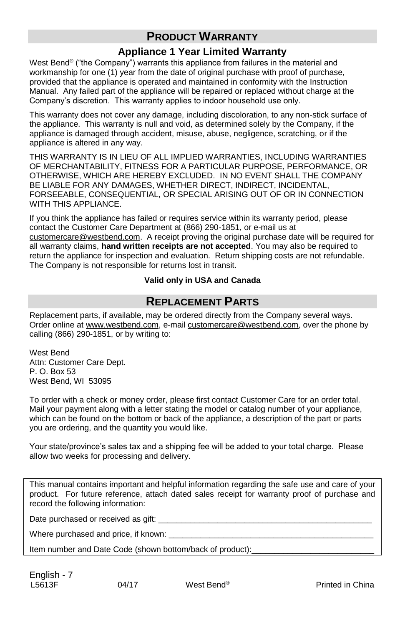# **PRODUCT WARRANTY**

#### **Appliance 1 Year Limited Warranty**

West Bend<sup>®</sup> ("the Company") warrants this appliance from failures in the material and workmanship for one (1) year from the date of original purchase with proof of purchase, provided that the appliance is operated and maintained in conformity with the Instruction Manual. Any failed part of the appliance will be repaired or replaced without charge at the Company's discretion. This warranty applies to indoor household use only.

This warranty does not cover any damage, including discoloration, to any non-stick surface of the appliance. This warranty is null and void, as determined solely by the Company, if the appliance is damaged through accident, misuse, abuse, negligence, scratching, or if the appliance is altered in any way.

THIS WARRANTY IS IN LIEU OF ALL IMPLIED WARRANTIES, INCLUDING WARRANTIES OF MERCHANTABILITY, FITNESS FOR A PARTICULAR PURPOSE, PERFORMANCE, OR OTHERWISE, WHICH ARE HEREBY EXCLUDED. IN NO EVENT SHALL THE COMPANY BE LIABLE FOR ANY DAMAGES, WHETHER DIRECT, INDIRECT, INCIDENTAL, FORSEEABLE, CONSEQUENTIAL, OR SPECIAL ARISING OUT OF OR IN CONNECTION WITH THIS APPI IANCE.

If you think the appliance has failed or requires service within its warranty period, please contact the Customer Care Department at (866) 290-1851, or e-mail us at customercare@westbend.com. A receipt proving the original purchase date will be required for all warranty claims, **hand written receipts are not accepted**. You may also be required to return the appliance for inspection and evaluation. Return shipping costs are not refundable. The Company is not responsible for returns lost in transit.

#### **Valid only in USA and Canada**

#### **REPLACEMENT PARTS**

Replacement parts, if available, may be ordered directly from the Company several ways. Order online at www.westbend.com, e-mail customercare@westbend.com, over the phone by calling (866) 290-1851, or by writing to:

West Bend Attn: Customer Care Dept. P. O. Box 53 West Bend, WI 53095

To order with a check or money order, please first contact Customer Care for an order total. Mail your payment along with a letter stating the model or catalog number of your appliance, which can be found on the bottom or back of the appliance, a description of the part or parts you are ordering, and the quantity you would like.

Your state/province's sales tax and a shipping fee will be added to your total charge. Please allow two weeks for processing and delivery.

This manual contains important and helpful information regarding the safe use and care of your product. For future reference, attach dated sales receipt for warranty proof of purchase and record the following information:

Date purchased or received as gift: \_\_\_\_\_\_\_\_\_\_\_\_\_\_\_\_\_\_\_\_\_\_\_\_\_\_\_\_\_\_\_\_\_\_\_\_\_\_\_\_\_\_\_\_\_\_\_

Where purchased and price, if known:

Item number and Date Code (shown bottom/back of product):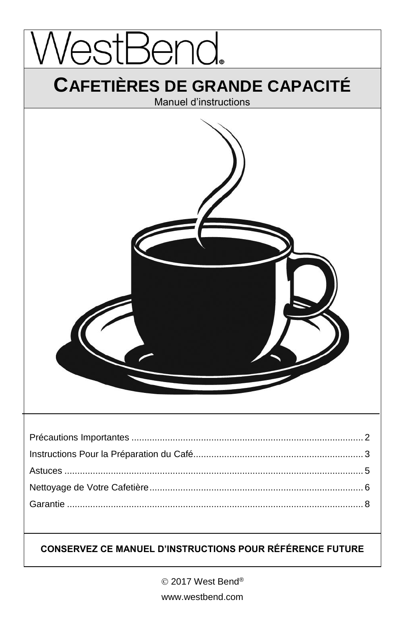

© 2017 West Bend® www.westbend.com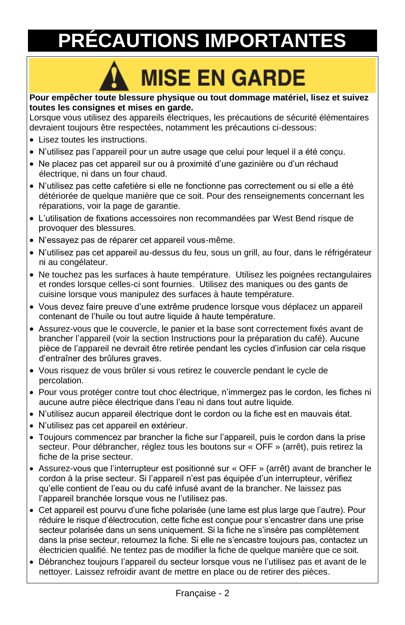# **PRÉCAUTIONS IMPORTANTES**

# **MISE EN GARDE**

#### **Pour empêcher toute blessure physique ou tout dommage matériel, lisez et suivez toutes les consignes et mises en garde.**

Lorsque vous utilisez des appareils électriques, les précautions de sécurité élémentaires devraient toujours être respectées, notamment les précautions ci-dessous:

- Lisez toutes les instructions.
- N'utilisez pas l'appareil pour un autre usage que celui pour lequel il a été conçu.
- Ne placez pas cet appareil sur ou à proximité d'une gazinière ou d'un réchaud électrique, ni dans un four chaud.
- N'utilisez pas cette cafetière si elle ne fonctionne pas correctement ou si elle a été détériorée de quelque manière que ce soit. Pour des renseignements concernant les réparations, voir la page de garantie.
- L'utilisation de fixations accessoires non recommandées par West Bend risque de provoquer des blessures.
- N'essayez pas de réparer cet appareil vous-même.
- N'utilisez pas cet appareil au-dessus du feu, sous un grill, au four, dans le réfrigérateur ni au congélateur.
- Ne touchez pas les surfaces à haute température. Utilisez les poignées rectangulaires et rondes lorsque celles-ci sont fournies. Utilisez des maniques ou des gants de cuisine lorsque vous manipulez des surfaces à haute température.
- Vous devez faire preuve d'une extrême prudence lorsque vous déplacez un appareil contenant de l'huile ou tout autre liquide à haute température.
- Assurez-vous que le couvercle, le panier et la base sont correctement fixés avant de brancher l'appareil (voir la section Instructions pour la préparation du café). Aucune pièce de l'appareil ne devrait être retirée pendant les cycles d'infusion car cela risque d'entraîner des brûlures graves.
- Vous risquez de vous brûler si vous retirez le couvercle pendant le cycle de percolation.
- Pour vous protéger contre tout choc électrique, n'immergez pas le cordon, les fiches ni aucune autre pièce électrique dans l'eau ni dans tout autre liquide.
- N'utilisez aucun appareil électrique dont le cordon ou la fiche est en mauvais état.
- N'utilisez pas cet appareil en extérieur.
- Toujours commencez par brancher la fiche sur l'appareil, puis le cordon dans la prise secteur. Pour débrancher, réglez tous les boutons sur « OFF » (arrêt), puis retirez la fiche de la prise secteur.
- Assurez-vous que l'interrupteur est positionné sur « OFF » (arrêt) avant de brancher le cordon à la prise secteur. Si l'appareil n'est pas équipée d'un interrupteur, vérifiez qu'elle contient de l'eau ou du café infusé avant de la brancher. Ne laissez pas l'appareil branchée lorsque vous ne l'utilisez pas.
- Cet appareil est pourvu d'une fiche polarisée (une lame est plus large que l'autre). Pour réduire le risque d'électrocution, cette fiche est conçue pour s'encastrer dans une prise secteur polarisée dans un sens uniquement. Si la fiche ne s'insère pas complètement dans la prise secteur, retournez la fiche. Si elle ne s'encastre toujours pas, contactez un électricien qualifié. Ne tentez pas de modifier la fiche de quelque manière que ce soit.
- Débranchez toujours l'appareil du secteur lorsque vous ne l'utilisez pas et avant de le nettoyer. Laissez refroidir avant de mettre en place ou de retirer des pièces.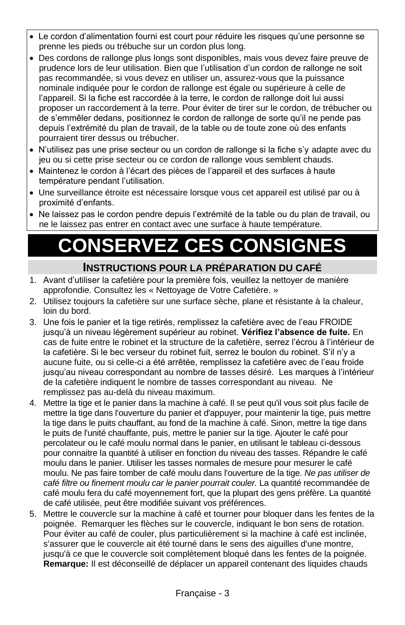- Le cordon d'alimentation fourni est court pour réduire les risques qu'une personne se prenne les pieds ou trébuche sur un cordon plus long.
- Des cordons de rallonge plus longs sont disponibles, mais vous devez faire preuve de prudence lors de leur utilisation. Bien que l'utilisation d'un cordon de rallonge ne soit pas recommandée, si vous devez en utiliser un, assurez-vous que la puissance nominale indiquée pour le cordon de rallonge est égale ou supérieure à celle de l'appareil. Si la fiche est raccordée à la terre, le cordon de rallonge doit lui aussi proposer un raccordement à la terre. Pour éviter de tirer sur le cordon, de trébucher ou de s'emmêler dedans, positionnez le cordon de rallonge de sorte qu'il ne pende pas depuis l'extrémité du plan de travail, de la table ou de toute zone où des enfants pourraient tirer dessus ou trébucher.
- N'utilisez pas une prise secteur ou un cordon de rallonge si la fiche s'y adapte avec du jeu ou si cette prise secteur ou ce cordon de rallonge vous semblent chauds.
- Maintenez le cordon à l'écart des pièces de l'appareil et des surfaces à haute température pendant l'utilisation.
- Une surveillance étroite est nécessaire lorsque vous cet appareil est utilisé par ou à proximité d'enfants.
- Ne laissez pas le cordon pendre depuis l'extrémité de la table ou du plan de travail, ou ne le laissez pas entrer en contact avec une surface à haute température.

# **CONSERVEZ CES CONSIGNES**

## **INSTRUCTIONS POUR LA PRÉPARATION DU CAFÉ**

- 1. Avant d'utiliser la cafetière pour la première fois, veuillez la nettoyer de manière approfondie. Consultez les « Nettoyage de Votre Cafetière. »
- 2. Utilisez toujours la cafetière sur une surface sèche, plane et résistante à la chaleur, loin du bord.
- 3. Une fois le panier et la tige retirés, remplissez la cafetière avec de l'eau FROIDE jusqu'à un niveau légèrement supérieur au robinet. **Vérifiez l'absence de fuite.** En cas de fuite entre le robinet et la structure de la cafetière, serrez l'écrou à l'intérieur de la cafetière. Si le bec verseur du robinet fuit, serrez le boulon du robinet. S'il n'y a aucune fuite, ou si celle-ci a été arrêtée, remplissez la cafetière avec de l'eau froide jusqu'au niveau correspondant au nombre de tasses désiré. Les marques à l'intérieur de la cafetière indiquent le nombre de tasses correspondant au niveau. Ne remplissez pas au-delà du niveau maximum.
- 4. Mettre la tige et le panier dans la machine à café. Il se peut qu'il vous soit plus facile de mettre la tige dans l'ouverture du panier et d'appuyer, pour maintenir la tige, puis mettre la tige dans le puits chauffant, au fond de la machine à café. Sinon, mettre la tige dans le puits de l'unité chauffante, puis, mettre le panier sur la tige. Ajouter le café pour percolateur ou le café moulu normal dans le panier, en utilisant le tableau ci-dessous pour connaitre la quantité à utiliser en fonction du niveau des tasses. Répandre le café moulu dans le panier. Utiliser les tasses normales de mesure pour mesurer le café moulu. Ne pas faire tomber de café moulu dans l'ouverture de la tige. *Ne pas utiliser de café filtre ou finement moulu car le panier pourrait couler.* La quantité recommandée de café moulu fera du café moyennement fort, que la plupart des gens préfère. La quantité de café utilisée, peut être modifiée suivant vos préférences.
- 5. Mettre le couvercle sur la machine à café et tourner pour bloquer dans les fentes de la poignée. Remarquer les flèches sur le couvercle, indiquant le bon sens de rotation. Pour éviter au café de couler, plus particulièrement si la machine à café est inclinée, s'assurer que le couvercle ait été tourné dans le sens des aiguilles d'une montre, jusqu'à ce que le couvercle soit complètement bloqué dans les fentes de la poignée. **Remarque:** Il est déconseillé de déplacer un appareil contenant des liquides chauds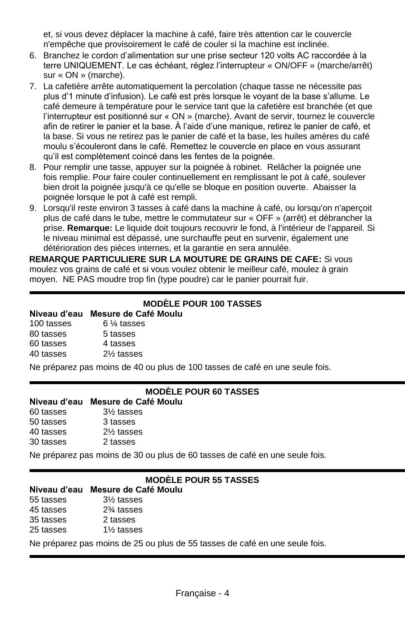et, si vous devez déplacer la machine à café, faire très attention car le couvercle n'empêche que provisoirement le café de couler si la machine est inclinée.

- 6. Branchez le cordon d'alimentation sur une prise secteur 120 volts AC raccordée à la terre UNIQUEMENT. Le cas échéant, réglez l'interrupteur « ON/OFF » (marche/arrêt) sur « ON » (marche).
- 7. La cafetière arrête automatiquement la percolation (chaque tasse ne nécessite pas plus d'1 minute d'infusion). Le café est près lorsque le voyant de la base s'allume. Le café demeure à température pour le service tant que la cafetière est branchée (et que l'interrupteur est positionné sur « ON » (marche). Avant de servir, tournez le couvercle afin de retirer le panier et la base. À l'aide d'une manique, retirez le panier de café, et la base. Si vous ne retirez pas le panier de café et la base, les huiles amères du café moulu s'écouleront dans le café. Remettez le couvercle en place en vous assurant qu'il est complètement coincé dans les fentes de la poignée.
- 8. Pour remplir une tasse, appuyer sur la poignée à robinet. Relâcher la poignée une fois remplie. Pour faire couler continuellement en remplissant le pot à café, soulever bien droit la poignée jusqu'à ce qu'elle se bloque en position ouverte. Abaisser la poignée lorsque le pot à café est rempli.
- 9. Lorsqu'il reste environ 3 tasses à café dans la machine à café, ou lorsqu'on n'aperçoit plus de café dans le tube, mettre le commutateur sur « OFF » (arrêt) et débrancher la prise. **Remarque:** Le liquide doit toujours recouvrir le fond, à l'intérieur de l'appareil. Si le niveau minimal est dépassé, une surchauffe peut en survenir, également une détérioration des pièces internes, et la garantie en sera annulée.

**REMARQUE PARTICULIERE SUR LA MOUTURE DE GRAINS DE CAFE:** Si vous moulez vos grains de café et si vous voulez obtenir le meilleur café, moulez à grain moyen. NE PAS moudre trop fin (type poudre) car le panier pourrait fuir.

#### **MODÈLE POUR 100 TASSES**

#### **Niveau d'eau Mesure de Café Moulu**

| 100 tasses | $6\%$ tasses |
|------------|--------------|
| 80 tasses  | 5 tasses     |
| 60 tasses  | 4 tasses     |
| 40 tasses  | 2% tasses    |

Ne préparez pas moins de 40 ou plus de 100 tasses de café en une seule fois.

#### **MODÈLE POUR 60 TASSES**

#### **Niveau d'eau Mesure de Café Moulu**

- 60 tasses 3½ tasses 50 tasses 3 tasses
- 40 tasses 2½ tasses
- 30 tasses 2 tasses

Ne préparez pas moins de 30 ou plus de 60 tasses de café en une seule fois.

#### **MODÈLE POUR 55 TASSES**

#### **Niveau d'eau Mesure de Café Moulu**

- 55 tasses 3½ tasses
- 45 tasses 2¾ tasses
- 35 tasses 2 tasses
- 25 tasses 1½ tasses

Ne préparez pas moins de 25 ou plus de 55 tasses de café en une seule fois.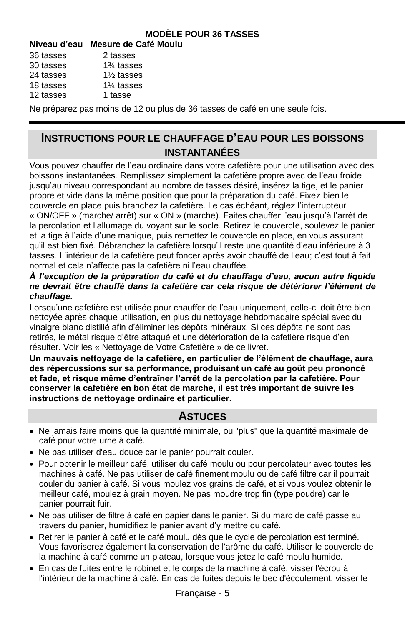#### **MODÈLE POUR 36 TASSES**

#### **Niveau d'eau Mesure de Café Moulu**

| 36 tasses | 2 tasses                             |
|-----------|--------------------------------------|
| 30 tasses | 1 <sup>3</sup> ⁄ <sub>4</sub> tasses |

- 24 tasses 1½ tasses
- 18 tasses 1¼ tasses
- 12 tasses 1 tasse

Ne préparez pas moins de 12 ou plus de 36 tasses de café en une seule fois.

# **INSTRUCTIONS POUR LE CHAUFFAGE D'EAU POUR LES BOISSONS INSTANTANÉES**

Vous pouvez chauffer de l'eau ordinaire dans votre cafetière pour une utilisation avec des boissons instantanées. Remplissez simplement la cafetière propre avec de l'eau froide jusqu'au niveau correspondant au nombre de tasses désiré, insérez la tige, et le panier propre et vide dans la même position que pour la préparation du café. Fixez bien le couvercle en place puis branchez la cafetière. Le cas échéant, réglez l'interrupteur « ON/OFF » (marche/ arrêt) sur « ON » (marche). Faites chauffer l'eau jusqu'à l'arrêt de la percolation et l'allumage du voyant sur le socle. Retirez le couvercle, soulevez le panier et la tige à l'aide d'une manique, puis remettez le couvercle en place, en vous assurant qu'il est bien fixé. Débranchez la cafetière lorsqu'il reste une quantité d'eau inférieure à 3 tasses. L'intérieur de la cafetière peut foncer après avoir chauffé de l'eau; c'est tout à fait normal et cela n'affecte pas la cafetière ni l'eau chauffée.

#### *À l'exception de la préparation du café et du chauffage d'eau, aucun autre liquide ne devrait être chauffé dans la cafetière car cela risque de détériorer l'élément de chauffage.*

Lorsqu'une cafetière est utilisée pour chauffer de l'eau uniquement, celle-ci doit être bien nettoyée après chaque utilisation, en plus du nettoyage hebdomadaire spécial avec du vinaigre blanc distillé afin d'éliminer les dépôts minéraux. Si ces dépôts ne sont pas retirés, le métal risque d'être attaqué et une détérioration de la cafetière risque d'en résulter. Voir les « Nettoyage de Votre Cafetière » de ce livret.

**Un mauvais nettoyage de la cafetière, en particulier de l'élément de chauffage, aura des répercussions sur sa performance, produisant un café au goût peu prononcé et fade, et risque même d'entraîner l'arrêt de la percolation par la cafetière. Pour conserver la cafetière en bon état de marche, il est très important de suivre les instructions de nettoyage ordinaire et particulier.** 

#### **ASTUCES**

- Ne jamais faire moins que la quantité minimale, ou "plus" que la quantité maximale de café pour votre urne à café.
- Ne pas utiliser d'eau douce car le panier pourrait couler.
- Pour obtenir le meilleur café, utiliser du café moulu ou pour percolateur avec toutes les machines à café. Ne pas utiliser de café finement moulu ou de café filtre car il pourrait couler du panier à café. Si vous moulez vos grains de café, et si vous voulez obtenir le meilleur café, moulez à grain moyen. Ne pas moudre trop fin (type poudre) car le panier pourrait fuir.
- Ne pas utiliser de filtre à café en papier dans le panier. Si du marc de café passe au travers du panier, humidifiez le panier avant d'y mettre du café.
- Retirer le panier à café et le café moulu dès que le cycle de percolation est terminé. Vous favoriserez également la conservation de l'arôme du café. Utiliser le couvercle de la machine à café comme un plateau, lorsque vous jetez le café moulu humide.
- En cas de fuites entre le robinet et le corps de la machine à café, visser l'écrou à l'intérieur de la machine à café. En cas de fuites depuis le bec d'écoulement, visser le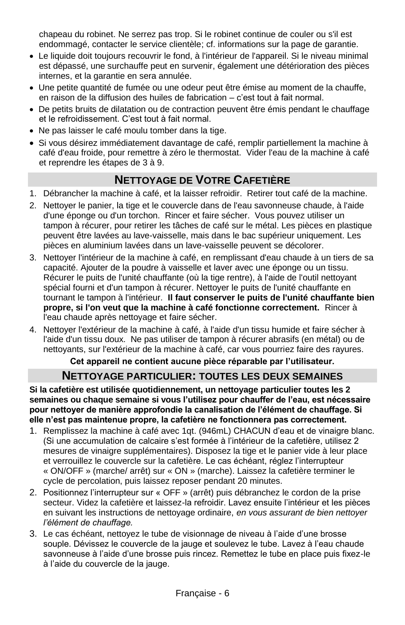chapeau du robinet. Ne serrez pas trop. Si le robinet continue de couler ou s'il est endommagé, contacter le service clientèle; cf. informations sur la page de garantie.

- Le liquide doit toujours recouvrir le fond, à l'intérieur de l'appareil. Si le niveau minimal est dépassé, une surchauffe peut en survenir, également une détérioration des pièces internes, et la garantie en sera annulée.
- Une petite quantité de fumée ou une odeur peut être émise au moment de la chauffe, en raison de la diffusion des huiles de fabrication – c'est tout à fait normal.
- De petits bruits de dilatation ou de contraction peuvent être émis pendant le chauffage et le refroidissement. C'est tout à fait normal.
- Ne pas laisser le café moulu tomber dans la tige.
- Si vous désirez immédiatement davantage de café, remplir partiellement la machine à café d'eau froide, pour remettre à zéro le thermostat. Vider l'eau de la machine à café et reprendre les étapes de 3 à 9.

# **NETTOYAGE DE VOTRE CAFETIÈRE**

- 1. Débrancher la machine à café, et la laisser refroidir. Retirer tout café de la machine.
- 2. Nettoyer le panier, la tige et le couvercle dans de l'eau savonneuse chaude, à l'aide d'une éponge ou d'un torchon. Rincer et faire sécher. Vous pouvez utiliser un tampon à récurer, pour retirer les tâches de café sur le métal. Les pièces en plastique peuvent être lavées au lave-vaisselle, mais dans le bac supérieur uniquement. Les pièces en aluminium lavées dans un lave-vaisselle peuvent se décolorer.
- 3. Nettoyer l'intérieur de la machine à café, en remplissant d'eau chaude à un tiers de sa capacité. Ajouter de la poudre à vaisselle et laver avec une éponge ou un tissu. Récurer le puits de l'unité chauffante (où la tige rentre), à l'aide de l'outil nettoyant spécial fourni et d'un tampon à récurer. Nettoyer le puits de l'unité chauffante en tournant le tampon à l'intérieur. **Il faut conserver le puits de l'unité chauffante bien propre, si l'on veut que la machine à café fonctionne correctement.** Rincer à l'eau chaude après nettoyage et faire sécher.
- 4. Nettoyer l'extérieur de la machine à café, à l'aide d'un tissu humide et faire sécher à l'aide d'un tissu doux. Ne pas utiliser de tampon à récurer abrasifs (en métal) ou de nettoyants, sur l'extérieur de la machine à café, car vous pourriez faire des rayures.

#### **Cet appareil ne contient aucune pièce réparable par l'utilisateur.**

#### **NETTOYAGE PARTICULIER: TOUTES LES DEUX SEMAINES**

**Si la cafetière est utilisée quotidiennement, un nettoyage particulier toutes les 2 semaines ou chaque semaine si vous l'utilisez pour chauffer de l'eau, est nécessaire pour nettoyer de manière approfondie la canalisation de l'élément de chauffage. Si elle n'est pas maintenue propre, la cafetière ne fonctionnera pas correctement.**

- 1. Remplissez la machine à café avec 1qt. (946mL) CHACUN d'eau et de vinaigre blanc. (Si une accumulation de calcaire s'est formée à l'intérieur de la cafetière, utilisez 2 mesures de vinaigre supplémentaires). Disposez la tige et le panier vide à leur place et verrouillez le couvercle sur la cafetière. Le cas échéant, réglez l'interrupteur « ON/OFF » (marche/ arrêt) sur « ON » (marche). Laissez la cafetière terminer le cycle de percolation, puis laissez reposer pendant 20 minutes.
- 2. Positionnez l'interrupteur sur « OFF » (arrêt) puis débranchez le cordon de la prise secteur. Videz la cafetière et laissez-la refroidir. Lavez ensuite l'intérieur et les pièces en suivant les instructions de nettoyage ordinaire, *en vous assurant de bien nettoyer l'élément de chauffage.*
- 3. Le cas échéant, nettoyez le tube de visionnage de niveau à l'aide d'une brosse souple. Dévissez le couvercle de la jauge et soulevez le tube. Lavez à l'eau chaude savonneuse à l'aide d'une brosse puis rincez. Remettez le tube en place puis fixez-le à l'aide du couvercle de la jauge.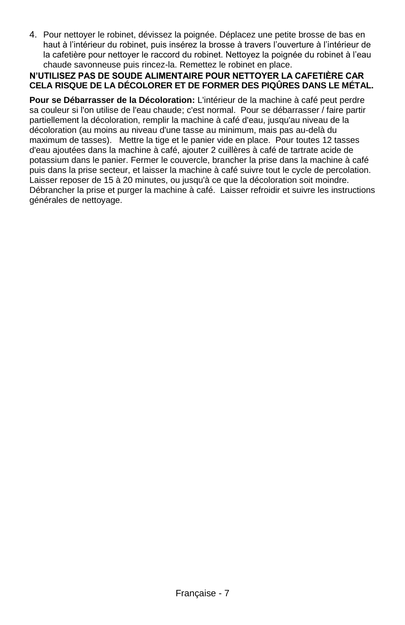4. Pour nettoyer le robinet, dévissez la poignée. Déplacez une petite brosse de bas en haut à l'intérieur du robinet, puis insérez la brosse à travers l'ouverture à l'intérieur de la cafetière pour nettoyer le raccord du robinet. Nettoyez la poignée du robinet à l'eau chaude savonneuse puis rincez-la. Remettez le robinet en place.

#### **N'UTILISEZ PAS DE SOUDE ALIMENTAIRE POUR NETTOYER LA CAFETIÈRE CAR CELA RISQUE DE LA DÉCOLORER ET DE FORMER DES PIQÛRES DANS LE MÉTAL.**

**Pour se Débarrasser de la Décoloration:** L'intérieur de la machine à café peut perdre sa couleur si l'on utilise de l'eau chaude; c'est normal. Pour se débarrasser / faire partir partiellement la décoloration, remplir la machine à café d'eau, jusqu'au niveau de la décoloration (au moins au niveau d'une tasse au minimum, mais pas au-delà du maximum de tasses). Mettre la tige et le panier vide en place. Pour toutes 12 tasses d'eau ajoutées dans la machine à café, ajouter 2 cuillères à café de tartrate acide de potassium dans le panier. Fermer le couvercle, brancher la prise dans la machine à café puis dans la prise secteur, et laisser la machine à café suivre tout le cycle de percolation. Laisser reposer de 15 à 20 minutes, ou jusqu'à ce que la décoloration soit moindre. Débrancher la prise et purger la machine à café. Laisser refroidir et suivre les instructions générales de nettoyage.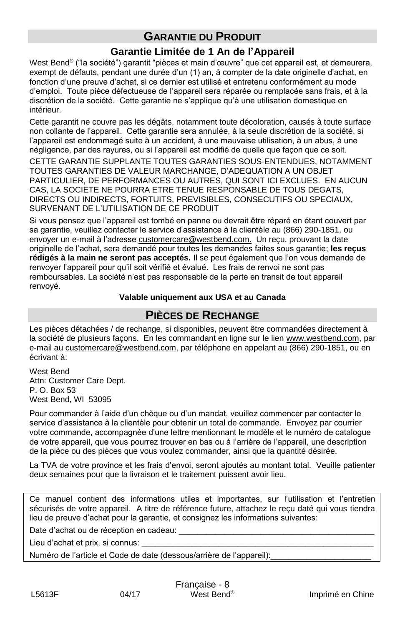# **GARANTIE DU PRODUIT**

### **Garantie Limitée de 1 An de l'Appareil**

West Bend® ("la société") garantit "pièces et main d'œuvre" que cet appareil est, et demeurera, exempt de défauts, pendant une durée d'un (1) an, à compter de la date originelle d'achat, en fonction d'une preuve d'achat, si ce dernier est utilisé et entretenu conformément au mode d'emploi. Toute pièce défectueuse de l'appareil sera réparée ou remplacée sans frais, et à la discrétion de la société. Cette garantie ne s'applique qu'à une utilisation domestique en intérieur.

Cette garantit ne couvre pas les dégâts, notamment toute décoloration, causés à toute surface non collante de l'appareil. Cette garantie sera annulée, à la seule discrétion de la société, si l'appareil est endommagé suite à un accident, à une mauvaise utilisation, à un abus, à une négligence, par des rayures, ou si l'appareil est modifié de quelle que façon que ce soit.

CETTE GARANTIE SUPPLANTE TOUTES GARANTIES SOUS-ENTENDUES, NOTAMMENT TOUTES GARANTIES DE VALEUR MARCHANGE, D'ADEQUATION A UN OBJET PARTICULIER, DE PERFORMANCES OU AUTRES, QUI SONT ICI EXCLUES. EN AUCUN CAS, LA SOCIETE NE POURRA ETRE TENUE RESPONSABLE DE TOUS DEGATS, DIRECTS OU INDIRECTS, FORTUITS, PREVISIBLES, CONSECUTIFS OU SPECIAUX, SURVENANT DE L'UTILISATION DE CE PRODUIT

Si vous pensez que l'appareil est tombé en panne ou devrait être réparé en étant couvert par sa garantie, veuillez contacter le service d'assistance à la clientèle au (866) 290-1851, ou envoyer un e-mail à l'adresse customercare@westbend.com. Un reçu, prouvant la date originelle de l'achat, sera demandé pour toutes les demandes faites sous garantie; **les reçus rédigés à la main ne seront pas acceptés.** Il se peut également que l'on vous demande de renvoyer l'appareil pour qu'il soit vérifié et évalué. Les frais de renvoi ne sont pas remboursables. La société n'est pas responsable de la perte en transit de tout appareil renvoyé.

#### **Valable uniquement aux USA et au Canada**

### **PIÈCES DE RECHANGE**

Les pièces détachées / de rechange, si disponibles, peuvent être commandées directement à la société de plusieurs façons. En les commandant en ligne sur le lien www.westbend.com, par e-mail au customercare@westbend.com, par téléphone en appelant au (866) 290-1851, ou en écrivant à:

West Bend Attn: Customer Care Dept. P. O. Box 53 West Bend, WI 53095

Pour commander à l'aide d'un chèque ou d'un mandat, veuillez commencer par contacter le service d'assistance à la clientèle pour obtenir un total de commande. Envoyez par courrier votre commande, accompagnée d'une lettre mentionnant le modèle et le numéro de catalogue de votre appareil, que vous pourrez trouver en bas ou à l'arrière de l'appareil, une description de la pièce ou des pièces que vous voulez commander, ainsi que la quantité désirée.

La TVA de votre province et les frais d'envoi, seront ajoutés au montant total. Veuille patienter deux semaines pour que la livraison et le traitement puissent avoir lieu.

Ce manuel contient des informations utiles et importantes, sur l'utilisation et l'entretien sécurisés de votre appareil. A titre de référence future, attachez le reçu daté qui vous tiendra lieu de preuve d'achat pour la garantie, et consignez les informations suivantes:

Date d'achat ou de réception en cadeau:

Lieu d'achat et prix, si connus:

Numéro de l'article et Code de date (dessous/arrière de l'appareil):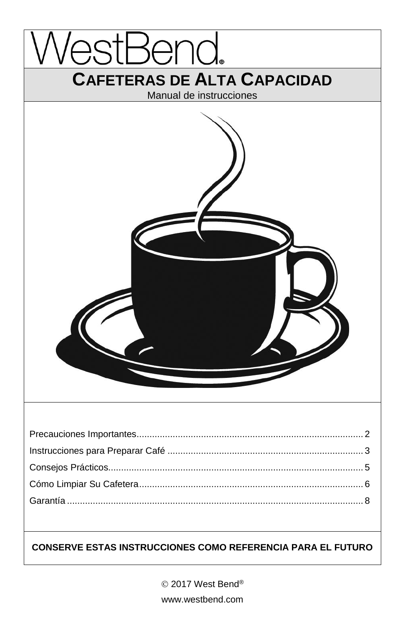

 2017 West Bend® www.westbend.com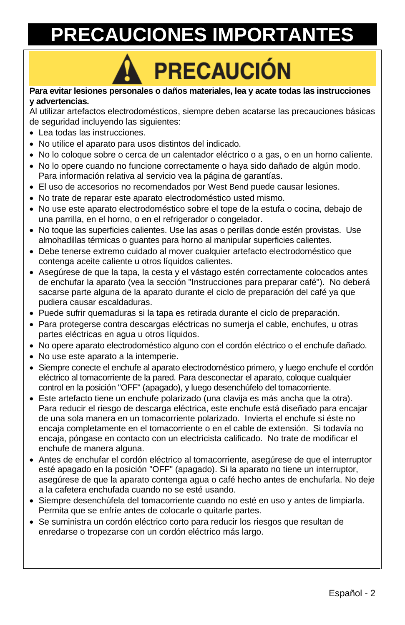# **PRECAUCIONES IMPORTANTES**

# **PRECAUCIÓN**

#### **Para evitar lesiones personales o daños materiales, lea y acate todas las instrucciones y advertencias.**

Al utilizar artefactos electrodomésticos, siempre deben acatarse las precauciones básicas de seguridad incluyendo las siguientes:

- Lea todas las instrucciones.
- No utilice el aparato para usos distintos del indicado.
- No lo coloque sobre o cerca de un calentador eléctrico o a gas, o en un horno caliente.
- No lo opere cuando no funcione correctamente o haya sido dañado de algún modo. Para información relativa al servicio vea la página de garantías.
- El uso de accesorios no recomendados por West Bend puede causar lesiones.
- No trate de reparar este aparato electrodoméstico usted mismo.
- No use este aparato electrodoméstico sobre el tope de la estufa o cocina, debajo de una parrilla, en el horno, o en el refrigerador o congelador.
- No toque las superficies calientes. Use las asas o perillas donde estén provistas. Use almohadillas térmicas o guantes para horno al manipular superficies calientes.
- Debe tenerse extremo cuidado al mover cualquier artefacto electrodoméstico que contenga aceite caliente u otros líquidos calientes.
- Asegúrese de que la tapa, la cesta y el vástago estén correctamente colocados antes de enchufar la aparato (vea la sección "Instrucciones para preparar café"). No deberá sacarse parte alguna de la aparato durante el ciclo de preparación del café ya que pudiera causar escaldaduras.
- Puede sufrir quemaduras si la tapa es retirada durante el ciclo de preparación.
- Para protegerse contra descargas eléctricas no sumerja el cable, enchufes, u otras partes eléctricas en agua u otros líquidos.
- No opere aparato electrodoméstico alguno con el cordón eléctrico o el enchufe dañado.
- No use este aparato a la intemperie.
- Siempre conecte el enchufe al aparato electrodoméstico primero, y luego enchufe el cordón eléctrico al tomacorriente de la pared. Para desconectar el aparato, coloque cualquier control en la posición "OFF" (apagado), y luego desenchúfelo del tomacorriente.
- Este artefacto tiene un enchufe polarizado (una clavija es más ancha que la otra). Para reducir el riesgo de descarga eléctrica, este enchufe está diseñado para encajar de una sola manera en un tomacorriente polarizado. Invierta el enchufe si éste no encaja completamente en el tomacorriente o en el cable de extensión. Si todavía no encaja, póngase en contacto con un electricista calificado. No trate de modificar el enchufe de manera alguna.
- Antes de enchufar el cordón eléctrico al tomacorriente, asegúrese de que el interruptor esté apagado en la posición "OFF" (apagado). Si la aparato no tiene un interruptor, asegúrese de que la aparato contenga agua o café hecho antes de enchufarla. No deje a la cafetera enchufada cuando no se esté usando.
- Siempre desenchúfela del tomacorriente cuando no esté en uso y antes de limpiarla. Permita que se enfríe antes de colocarle o quitarle partes.
- Se suministra un cordón eléctrico corto para reducir los riesgos que resultan de enredarse o tropezarse con un cordón eléctrico más largo.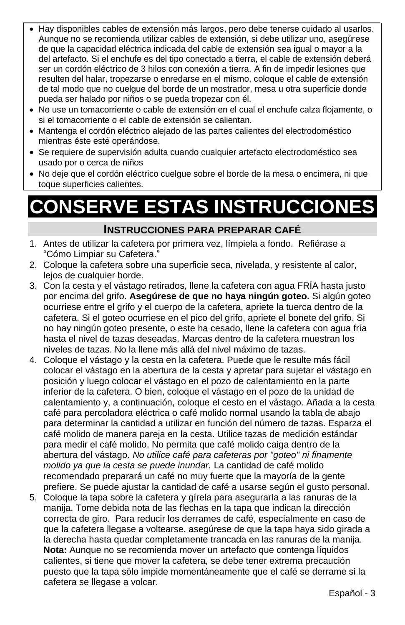- Hay disponibles cables de extensión más largos, pero debe tenerse cuidado al usarlos. Aunque no se recomienda utilizar cables de extensión, si debe utilizar uno, asegúrese de que la capacidad eléctrica indicada del cable de extensión sea igual o mayor a la del artefacto. Si el enchufe es del tipo conectado a tierra, el cable de extensión deberá ser un cordón eléctrico de 3 hilos con conexión a tierra. A fin de impedir lesiones que resulten del halar, tropezarse o enredarse en el mismo, coloque el cable de extensión de tal modo que no cuelgue del borde de un mostrador, mesa u otra superficie donde pueda ser halado por niños o se pueda tropezar con él.
- No use un tomacorriente o cable de extensión en el cual el enchufe calza flojamente, o si el tomacorriente o el cable de extensión se calientan.
- Mantenga el cordón eléctrico alejado de las partes calientes del electrodoméstico mientras éste esté operándose.
- Se requiere de supervisión adulta cuando cualquier artefacto electrodoméstico sea usado por o cerca de niños
- No deje que el cordón eléctrico cuelgue sobre el borde de la mesa o encimera, ni que toque superficies calientes.

# **CONSERVE ESTAS INSTRUCCIONES**

#### **INSTRUCCIONES PARA PREPARAR CAFÉ**

- 1. Antes de utilizar la cafetera por primera vez, límpiela a fondo. Refiérase a "Cómo Limpiar su Cafetera."
- 2. Coloque la cafetera sobre una superficie seca, nivelada, y resistente al calor, lejos de cualquier borde.
- 3. Con la cesta y el vástago retirados, llene la cafetera con agua FRÍA hasta justo por encima del grifo. **Asegúrese de que no haya ningún goteo.** Si algún goteo ocurriese entre el grifo y el cuerpo de la cafetera, apriete la tuerca dentro de la cafetera. Si el goteo ocurriese en el pico del grifo, apriete el bonete del grifo. Si no hay ningún goteo presente, o este ha cesado, llene la cafetera con agua fría hasta el nivel de tazas deseadas. Marcas dentro de la cafetera muestran los niveles de tazas. No la llene más allá del nivel máximo de tazas.
- 4. Coloque el vástago y la cesta en la cafetera. Puede que le resulte más fácil colocar el vástago en la abertura de la cesta y apretar para sujetar el vástago en posición y luego colocar el vástago en el pozo de calentamiento en la parte inferior de la cafetera. O bien, coloque el vástago en el pozo de la unidad de calentamiento y, a continuación, coloque el cesto en el vástago. Añada a la cesta café para percoladora eléctrica o café molido normal usando la tabla de abajo para determinar la cantidad a utilizar en función del número de tazas. Esparza el café molido de manera pareja en la cesta. Utilice tazas de medición estándar para medir el café molido. No permita que café molido caiga dentro de la abertura del vástago. *No utilice café para cafeteras por "goteo" ni finamente molido ya que la cesta se puede inundar.* La cantidad de café molido recomendado preparará un café no muy fuerte que la mayoría de la gente prefiere. Se puede ajustar la cantidad de café a usarse según el gusto personal.
- 5. Coloque la tapa sobre la cafetera y gírela para asegurarla a las ranuras de la manija. Tome debida nota de las flechas en la tapa que indican la dirección correcta de giro. Para reducir los derrames de café, especialmente en caso de que la cafetera llegase a voltearse, asegúrese de que la tapa haya sido girada a la derecha hasta quedar completamente trancada en las ranuras de la manija. **Nota:** Aunque no se recomienda mover un artefacto que contenga líquidos calientes, si tiene que mover la cafetera, se debe tener extrema precaución puesto que la tapa sólo impide momentáneamente que el café se derrame si la cafetera se llegase a volcar.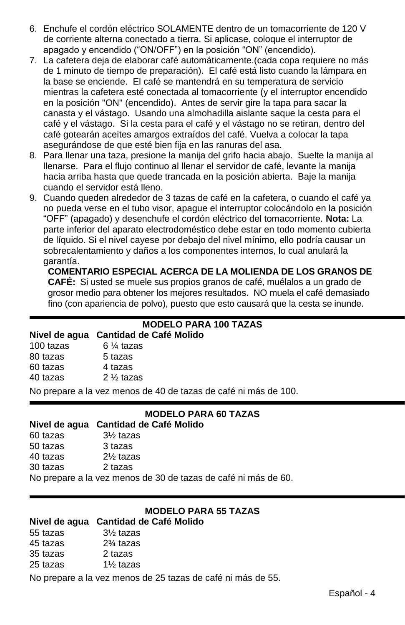- 6. Enchufe el cordón eléctrico SOLAMENTE dentro de un tomacorriente de 120 V de corriente alterna conectado a tierra. Si aplicase, coloque el interruptor de apagado y encendido ("ON/OFF") en la posición "ON" (encendido).
- 7. La cafetera deja de elaborar café automáticamente.(cada copa requiere no más de 1 minuto de tiempo de preparación). El café está listo cuando la lámpara en la base se enciende. El café se mantendrá en su temperatura de servicio mientras la cafetera esté conectada al tomacorriente (y el interruptor encendido en la posición "ON" (encendido). Antes de servir gire la tapa para sacar la canasta y el vástago. Usando una almohadilla aislante saque la cesta para el café y el vástago. Si la cesta para el café y el vástago no se retiran, dentro del café gotearán aceites amargos extraídos del café. Vuelva a colocar la tapa asegurándose de que esté bien fija en las ranuras del asa.
- 8. Para llenar una taza, presione la manija del grifo hacia abajo. Suelte la manija al llenarse. Para el flujo continuo al llenar el servidor de café, levante la manija hacia arriba hasta que quede trancada en la posición abierta. Baje la manija cuando el servidor está lleno.
- 9. Cuando queden alrededor de 3 tazas de café en la cafetera, o cuando el café ya no pueda verse en el tubo visor, apague el interruptor colocándolo en la posición "OFF" (apagado) y desenchufe el cordón eléctrico del tomacorriente. **Nota:** La parte inferior del aparato electrodoméstico debe estar en todo momento cubierta de líquido. Si el nivel cayese por debajo del nivel mínimo, ello podría causar un sobrecalentamiento y daños a los componentes internos, lo cual anulará la garantía.

#### **COMENTARIO ESPECIAL ACERCA DE LA MOLIENDA DE LOS GRANOS DE CAFÉ:** Si usted se muele sus propios granos de café, muélalos a un grado de grosor medio para obtener los mejores resultados. NO muela el café demasiado fino (con apariencia de polvo), puesto que esto causará que la cesta se inunde.

#### **MODELO PARA 100 TAZAS**

#### **Nivel de agua Cantidad de Café Molido**

| 100 tazas | $6\%$ tazas          |
|-----------|----------------------|
| 80 tazas  | 5 tazas              |
| 60 tazas  | 4 tazas              |
| 40 tazas  | $2\frac{1}{2}$ tazas |

No prepare a la vez menos de 40 de tazas de café ni más de 100.

#### **MODELO PARA 60 TAZAS**

#### **Nivel de agua Cantidad de Café Molido**

- 60 tazas 3½ tazas
- 50 tazas 3 tazas
- 40 tazas 2½ tazas
- 30 tazas 2 tazas

No prepare a la vez menos de 30 de tazas de café ni más de 60.

## **MODELO PARA 55 TAZAS**

#### **Nivel de agua Cantidad de Café Molido**

| 55 tazas | 31/ <sub>2</sub> tazas |
|----------|------------------------|
| 45 tazas | $2\%$ tazas            |
| 35 tazas | 2 tazas                |
| 25 tazas | 1% tazas               |
|          |                        |

No prepare a la vez menos de 25 tazas de café ni más de 55.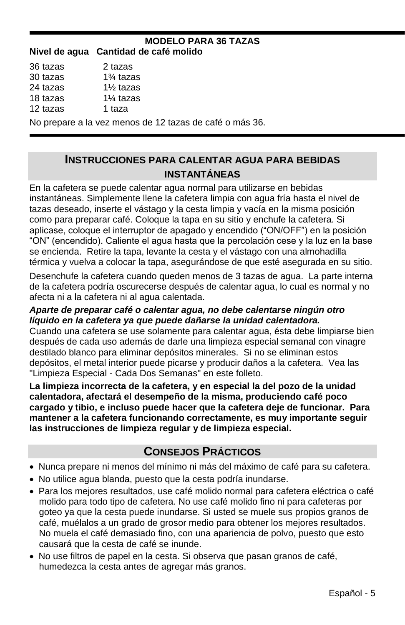# **MODELO PARA 36 TAZAS**

| Nivel de agua Cantidad de café molido |  |  |  |  |
|---------------------------------------|--|--|--|--|
|---------------------------------------|--|--|--|--|

| 36 tazas | 2 tazas              |                                                        |
|----------|----------------------|--------------------------------------------------------|
| 30 tazas | $1\%$ tazas          |                                                        |
| 24 tazas | $1\%$ tazas          |                                                        |
| 18 tazas | 1 <sup>%</sup> tazas |                                                        |
| 12 tazas | 1 taza               |                                                        |
|          |                      | No prepare a la vez menos de 12 tazas de café o más 36 |

#### **INSTRUCCIONES PARA CALENTAR AGUA PARA BEBIDAS INSTANTÁNEAS**

En la cafetera se puede calentar agua normal para utilizarse en bebidas instantáneas. Simplemente llene la cafetera limpia con agua fría hasta el nivel de tazas deseado, inserte el vástago y la cesta limpia y vacía en la misma posición como para preparar café. Coloque la tapa en su sitio y enchufe la cafetera. Si aplicase, coloque el interruptor de apagado y encendido ("ON/OFF") en la posición "ON" (encendido). Caliente el agua hasta que la percolación cese y la luz en la base se encienda. Retire la tapa, levante la cesta y el vástago con una almohadilla térmica y vuelva a colocar la tapa, asegurándose de que esté asegurada en su sitio.

Desenchufe la cafetera cuando queden menos de 3 tazas de agua. La parte interna de la cafetera podría oscurecerse después de calentar agua, lo cual es normal y no afecta ni a la cafetera ni al agua calentada.

#### *Aparte de preparar café o calentar agua, no debe calentarse ningún otro líquido en la cafetera ya que puede dañarse la unidad calentadora.*

Cuando una cafetera se use solamente para calentar agua, ésta debe limpiarse bien después de cada uso además de darle una limpieza especial semanal con vinagre destilado blanco para eliminar depósitos minerales. Si no se eliminan estos depósitos, el metal interior puede picarse y producir daños a la cafetera. Vea las "Limpieza Especial - Cada Dos Semanas" en este folleto.

**La limpieza incorrecta de la cafetera, y en especial la del pozo de la unidad calentadora, afectará el desempeño de la misma, produciendo café poco cargado y tibio, e incluso puede hacer que la cafetera deje de funcionar. Para mantener a la cafetera funcionando correctamente, es muy importante seguir las instrucciones de limpieza regular y de limpieza especial.**

# **CONSEJOS PRÁCTICOS**

- Nunca prepare ni menos del mínimo ni más del máximo de café para su cafetera.
- No utilice agua blanda, puesto que la cesta podría inundarse.
- Para los mejores resultados, use café molido normal para cafetera eléctrica o café molido para todo tipo de cafetera. No use café molido fino ni para cafeteras por goteo ya que la cesta puede inundarse. Si usted se muele sus propios granos de café, muélalos a un grado de grosor medio para obtener los mejores resultados. No muela el café demasiado fino, con una apariencia de polvo, puesto que esto causará que la cesta de café se inunde.
- No use filtros de papel en la cesta. Si observa que pasan granos de café, humedezca la cesta antes de agregar más granos.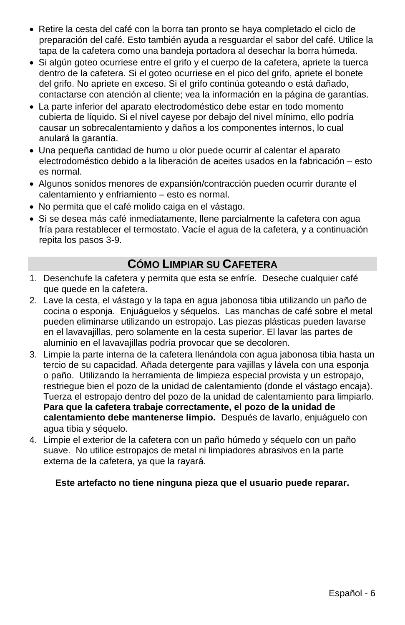- Retire la cesta del café con la borra tan pronto se haya completado el ciclo de preparación del café. Esto también ayuda a resguardar el sabor del café. Utilice la tapa de la cafetera como una bandeja portadora al desechar la borra húmeda.
- Si algún goteo ocurriese entre el grifo y el cuerpo de la cafetera, apriete la tuerca dentro de la cafetera. Si el goteo ocurriese en el pico del grifo, apriete el bonete del grifo. No apriete en exceso. Si el grifo continúa goteando o está dañado, contactarse con atención al cliente; vea la información en la página de garantías.
- La parte inferior del aparato electrodoméstico debe estar en todo momento cubierta de líquido. Si el nivel cayese por debajo del nivel mínimo, ello podría causar un sobrecalentamiento y daños a los componentes internos, lo cual anulará la garantía.
- Una pequeña cantidad de humo u olor puede ocurrir al calentar el aparato electrodoméstico debido a la liberación de aceites usados en la fabricación – esto es normal.
- Algunos sonidos menores de expansión/contracción pueden ocurrir durante el calentamiento y enfriamiento – esto es normal.
- No permita que el café molido caiga en el vástago.
- Si se desea más café inmediatamente, llene parcialmente la cafetera con agua fría para restablecer el termostato. Vacíe el agua de la cafetera, y a continuación repita los pasos 3-9.

# **CÓMO LIMPIAR SU CAFETERA**

- 1. Desenchufe la cafetera y permita que esta se enfríe. Deseche cualquier café que quede en la cafetera.
- 2. Lave la cesta, el vástago y la tapa en agua jabonosa tibia utilizando un paño de cocina o esponja. Enjuáguelos y séquelos. Las manchas de café sobre el metal pueden eliminarse utilizando un estropajo. Las piezas plásticas pueden lavarse en el lavavajillas, pero solamente en la cesta superior. El lavar las partes de aluminio en el lavavajillas podría provocar que se decoloren.
- 3. Limpie la parte interna de la cafetera llenándola con agua jabonosa tibia hasta un tercio de su capacidad. Añada detergente para vajillas y lávela con una esponja o paño. Utilizando la herramienta de limpieza especial provista y un estropajo, restriegue bien el pozo de la unidad de calentamiento (donde el vástago encaja). Tuerza el estropajo dentro del pozo de la unidad de calentamiento para limpiarlo. **Para que la cafetera trabaje correctamente, el pozo de la unidad de calentamiento debe mantenerse limpio.** Después de lavarlo, enjuáguelo con agua tibia y séquelo.
- 4. Limpie el exterior de la cafetera con un paño húmedo y séquelo con un paño suave. No utilice estropajos de metal ni limpiadores abrasivos en la parte externa de la cafetera, ya que la rayará.

#### **Este artefacto no tiene ninguna pieza que el usuario puede reparar.**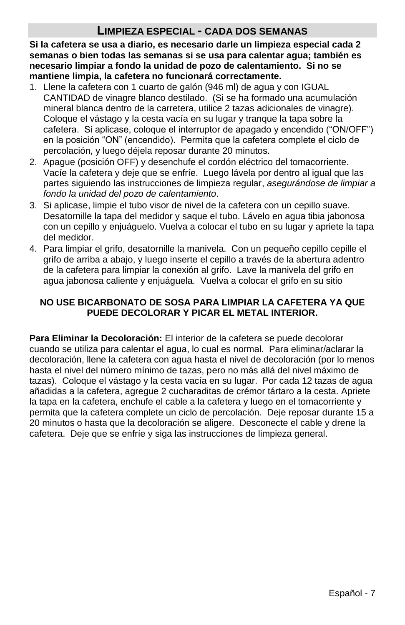### **LIMPIEZA ESPECIAL - CADA DOS SEMANAS**

**Si la cafetera se usa a diario, es necesario darle un limpieza especial cada 2 semanas o bien todas las semanas si se usa para calentar agua; también es necesario limpiar a fondo la unidad de pozo de calentamiento. Si no se mantiene limpia, la cafetera no funcionará correctamente.**

- 1. Llene la cafetera con 1 cuarto de galón (946 ml) de agua y con IGUAL CANTIDAD de vinagre blanco destilado. (Si se ha formado una acumulación mineral blanca dentro de la carretera, utilice 2 tazas adicionales de vinagre). Coloque el vástago y la cesta vacía en su lugar y tranque la tapa sobre la cafetera. Si aplicase, coloque el interruptor de apagado y encendido ("ON/OFF") en la posición "ON" (encendido). Permita que la cafetera complete el ciclo de percolación, y luego déjela reposar durante 20 minutos.
- 2. Apague (posición OFF) y desenchufe el cordón eléctrico del tomacorriente. Vacíe la cafetera y deje que se enfríe. Luego lávela por dentro al igual que las partes siguiendo las instrucciones de limpieza regular, *asegurándose de limpiar a fondo la unidad del pozo de calentamiento*.
- 3. Si aplicase, limpie el tubo visor de nivel de la cafetera con un cepillo suave. Desatornille la tapa del medidor y saque el tubo. Lávelo en agua tibia jabonosa con un cepillo y enjuáguelo. Vuelva a colocar el tubo en su lugar y apriete la tapa del medidor.
- 4. Para limpiar el grifo, desatornille la manivela. Con un pequeño cepillo cepille el grifo de arriba a abajo, y luego inserte el cepillo a través de la abertura adentro de la cafetera para limpiar la conexión al grifo. Lave la manivela del grifo en agua jabonosa caliente y enjuáguela. Vuelva a colocar el grifo en su sitio

#### **NO USE BICARBONATO DE SOSA PARA LIMPIAR LA CAFETERA YA QUE PUEDE DECOLORAR Y PICAR EL METAL INTERIOR.**

**Para Eliminar la Decoloración:** El interior de la cafetera se puede decolorar cuando se utiliza para calentar el agua, lo cual es normal. Para eliminar/aclarar la decoloración, llene la cafetera con agua hasta el nivel de decoloración (por lo menos hasta el nivel del número mínimo de tazas, pero no más allá del nivel máximo de tazas). Coloque el vástago y la cesta vacía en su lugar. Por cada 12 tazas de agua añadidas a la cafetera, agregue 2 cucharaditas de crémor tártaro a la cesta. Apriete la tapa en la cafetera, enchufe el cable a la cafetera y luego en el tomacorriente y permita que la cafetera complete un ciclo de percolación. Deje reposar durante 15 a 20 minutos o hasta que la decoloración se aligere. Desconecte el cable y drene la cafetera. Deje que se enfríe y siga las instrucciones de limpieza general.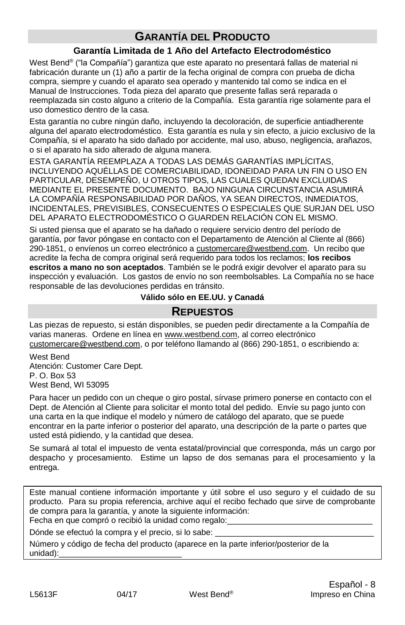# **GARANTÍA DEL PRODUCTO**

#### **Garantía Limitada de 1 Año del Artefacto Electrodoméstico**

West Bend® ("la Compañía") garantiza que este aparato no presentará fallas de material ni fabricación durante un (1) año a partir de la fecha original de compra con prueba de dicha compra, siempre y cuando el aparato sea operado y mantenido tal como se indica en el Manual de Instrucciones. Toda pieza del aparato que presente fallas será reparada o reemplazada sin costo alguno a criterio de la Compañía. Esta garantía rige solamente para el uso domestico dentro de la casa.

Esta garantía no cubre ningún daño, incluyendo la decoloración, de superficie antiadherente alguna del aparato electrodoméstico. Esta garantía es nula y sin efecto, a juicio exclusivo de la Compañía, si el aparato ha sido dañado por accidente, mal uso, abuso, negligencia, arañazos, o si el aparato ha sido alterado de alguna manera.

ESTA GARANTÍA REEMPLAZA A TODAS LAS DEMÁS GARANTÍAS IMPLÍCITAS, INCLUYENDO AQUÉLLAS DE COMERCIABILIDAD, IDONEIDAD PARA UN FIN O USO EN PARTICULAR, DESEMPEÑO, U OTROS TIPOS, LAS CUALES QUEDAN EXCLUIDAS MEDIANTE EL PRESENTE DOCUMENTO. BAJO NINGUNA CIRCUNSTANCIA ASUMIRÁ LA COMPAÑÍA RESPONSABILIDAD POR DAÑOS, YA SEAN DIRECTOS, INMEDIATOS, INCIDENTALES, PREVISIBLES, CONSECUENTES O ESPECIALES QUE SURJAN DEL USO DEL APARATO ELECTRODOMÉSTICO O GUARDEN RELACIÓN CON EL MISMO.

Si usted piensa que el aparato se ha dañado o requiere servicio dentro del período de garantía, por favor póngase en contacto con el Departamento de Atención al Cliente al (866) 290-1851, o envíenos un correo electrónico a customercare@westbend.com. Un recibo que acredite la fecha de compra original será requerido para todos los reclamos; **los recibos escritos a mano no son aceptados**. También se le podrá exigir devolver el aparato para su inspección y evaluación. Los gastos de envío no son reembolsables. La Compañía no se hace responsable de las devoluciones perdidas en tránsito.

**Válido sólo en EE.UU. y Canadá**

#### **REPUESTOS**

Las piezas de repuesto, si están disponibles, se pueden pedir directamente a la Compañía de varias maneras. Ordene en línea en www.westbend.com, al correo electrónico customercare@westbend.com, o por teléfono llamando al (866) 290-1851, o escribiendo a:

West Bend Atención: Customer Care Dept. P. O. Box 53 West Bend, WI 53095

Para hacer un pedido con un cheque o giro postal, sírvase primero ponerse en contacto con el Dept. de Atención al Cliente para solicitar el monto total del pedido. Envíe su pago junto con una carta en la que indique el modelo y número de catálogo del aparato, que se puede encontrar en la parte inferior o posterior del aparato, una descripción de la parte o partes que usted está pidiendo, y la cantidad que desea.

Se sumará al total el impuesto de venta estatal/provincial que corresponda, más un cargo por despacho y procesamiento. Estime un lapso de dos semanas para el procesamiento y la entrega.

Este manual contiene información importante y útil sobre el uso seguro y el cuidado de su producto. Para su propia referencia, archive aquí el recibo fechado que sirve de comprobante de compra para la garantía, y anote la siguiente información:

Fecha en que compró o recibió la unidad como regalo:

Dónde se efectuó la compra y el precio, si lo sabe:

Número y código de fecha del producto (aparece en la parte inferior/posterior de la unidad):